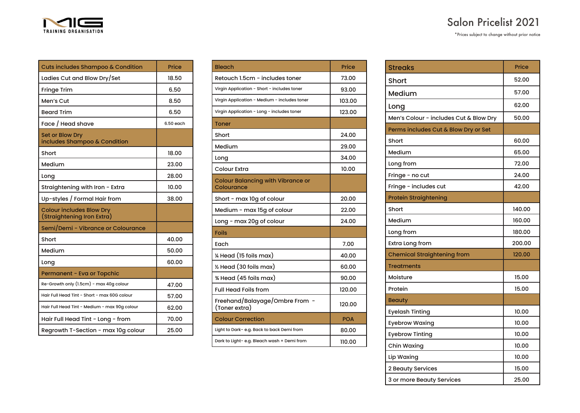| ш                     |
|-----------------------|
| TRAINING ORGANISATION |

| <b>Salon Pricelist 2021</b> |  |
|-----------------------------|--|
|-----------------------------|--|

\*Prices subject to change without prior notice

| Cuts includes Shampoo & Condition                             | Price     |
|---------------------------------------------------------------|-----------|
| Ladies Cut and Blow Dry/Set                                   | 18.50     |
| Fringe Trim                                                   | 6.50      |
| Men's Cut                                                     | 8.50      |
| <b>Beard Trim</b>                                             | 6.50      |
| Face / Head shave                                             | 6.50 each |
| <b>Set or Blow Dry</b><br>includes Shampoo & Condition        |           |
| Short                                                         | 18.00     |
| Medium                                                        | 23.00     |
| Long                                                          | 28.00     |
| Straightening with Iron - Extra                               | 10.00     |
| Up-styles / Formal Hair from                                  | 38.00     |
| <b>Colour includes Blow Dry</b><br>(Straightening Iron Extra) |           |
| Semi/Demi - Vibrance or Colourance                            |           |
| Short                                                         | 40.00     |
| Medium                                                        | 50.00     |
| Long                                                          | 60.00     |
| Permanent - Eva or Topchic                                    |           |
| Re-Growth only (1.5cm) - max 40g colour                       | 47.00     |
| Hair Full Head Tint - Short - max 60G colour                  | 57.00     |
| Hair Full Head Tint - Medium - max 90g colour                 | 62.00     |
| Hair Full Head Tint - Long - from                             | 70.00     |
| Regrowth T-Section - max 10g colour                           | 25.00     |

۰.

| <b>Bleach</b>                                          | Price      |
|--------------------------------------------------------|------------|
| Retouch 1.5cm - includes toner                         | 73.00      |
| Virgin Application - Short - includes toner            | 93.00      |
| Virgin Application - Medium - includes toner           | 103.00     |
| Virgin Application - Long - includes toner             | 123.00     |
| Toner                                                  |            |
| Short                                                  | 24.00      |
| Medium                                                 | 29.00      |
| Long                                                   | 34.00      |
| <b>Colour Extra</b>                                    | 10.00      |
| <b>Colour Balancing with Vibrance or</b><br>Colourance |            |
| Short - max 10g of colour                              | 20.00      |
| Medium - max 15g of colour                             | 22.00      |
| Long - max 20g of colour                               | 24.00      |
| Foils                                                  |            |
| Each                                                   | 7.00       |
| 1/4 Head (15 foils max)                                | 40.00      |
| 1/2 Head (30 foils max)                                | 60.00      |
| % Head (45 foils max)                                  | 90.00      |
| <b>Full Head Foils from</b>                            | 120.00     |
| Freehand/Balayage/Ombre From -<br>(Toner extra)        | 120.00     |
| <b>Colour Correction</b>                               | <b>POA</b> |
| Light to Dark- e.g. Back to back Demi from             | 80.00      |
| Dark to Light- e.g. Bleach wash + Demi from            | 110.00     |

| <b>Streaks</b>                         | Price  |
|----------------------------------------|--------|
| Short                                  | 52.00  |
| Medium                                 | 57.00  |
| Long                                   | 62.00  |
| Men's Colour - includes Cut & Blow Dry | 50.00  |
| Perms includes Cut & Blow Dry or Set   |        |
| Short                                  | 60.00  |
| Medium                                 | 65.00  |
| Long from                              | 72.00  |
| Fringe - no cut                        | 24.00  |
| Fringe - includes cut                  | 42.00  |
| <b>Protein Straightening</b>           |        |
| Short                                  | 140.00 |
| Medium                                 | 160.00 |
| Long from                              | 180.00 |
| <b>Extra Long from</b>                 | 200.00 |
| <b>Chemical Straightening from</b>     | 120.00 |
| <b>Treatments</b>                      |        |
| Moisture                               | 15.00  |
| Protein                                | 15.00  |
| <b>Beauty</b>                          |        |
| <b>Eyelash Tinting</b>                 | 10.00  |
| <b>Eyebrow Waxing</b>                  | 10.00  |
| <b>Eyebrow Tinting</b>                 | 10.00  |
| Chin Waxing                            | 10.00  |
| Lip Waxing                             | 10.00  |
| 2 Beauty Services                      | 15.00  |
| 3 or more Beauty Services              | 25.00  |